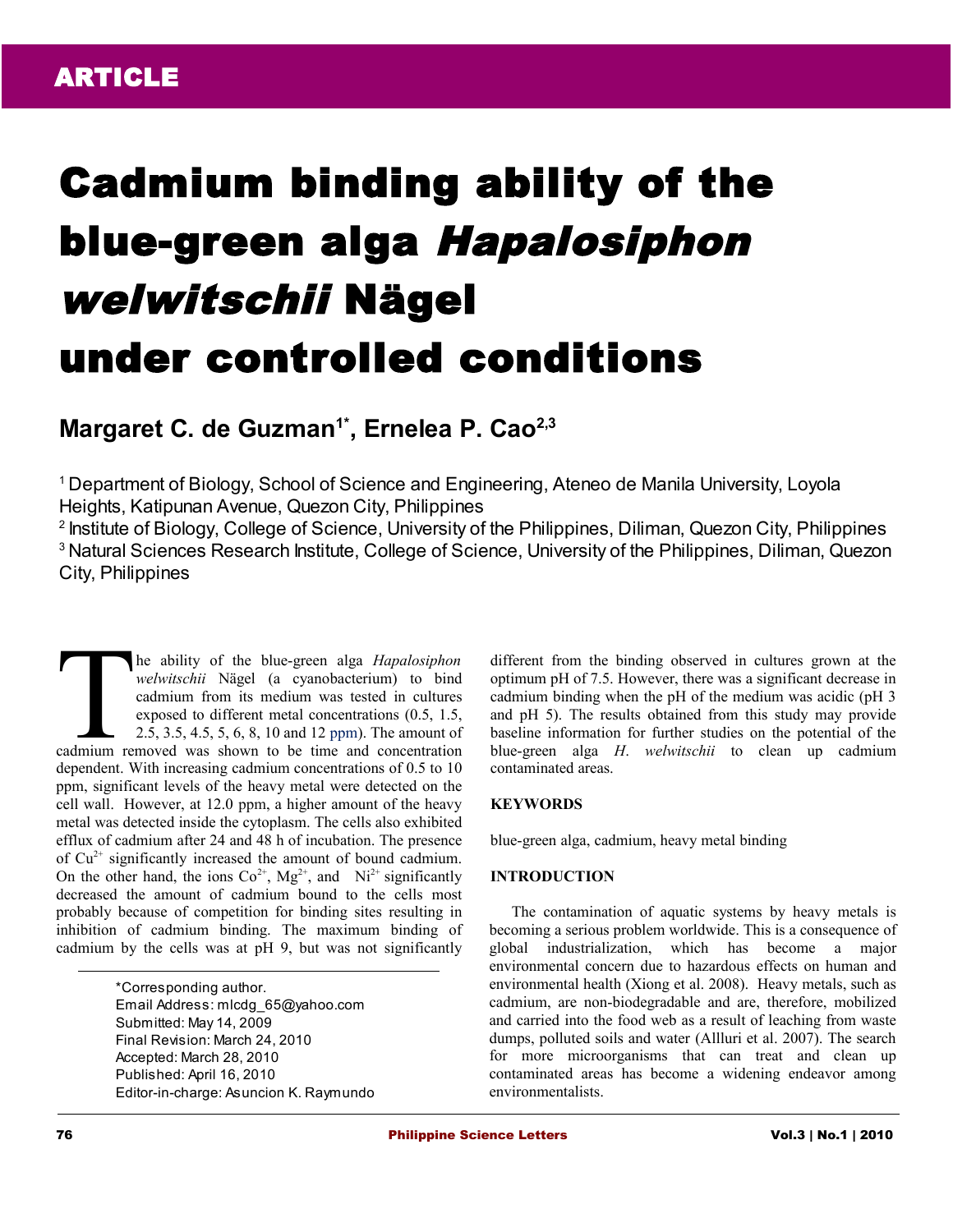# Cadmium binding ability of the blue-green alga Hapalosiphon welwitschii Nägel under controlled conditions

# **Margaret C. de Guzman1\*, Ernelea P. Cao2,3**

<sup>1</sup>Department of Biology, School of Science and Engineering, Ateneo de Manila University, Loyola Heights, Katipunan Avenue, Quezon City, Philippines

<sup>2</sup> Institute of Biology, College of Science, University of the Philippines, Diliman, Quezon City, Philippines <sup>3</sup> Natural Sciences Research Institute, College of Science, University of the Philippines, Diliman, Quezon City, Philippines

he ability of the blue-green alga *Hapalosiphon welwitschii* Nägel (a cyanobacterium) to bind cadmium from its medium was tested in cultures exposed to different metal concentrations (0.5, 1.5, 2.5, 3.5, 4.5, 5, 6, 8, 10 and 12 ppm). The amount of The ability of the blue-green alga *Hapalosiphon*<br>welwitschii Nägel (a cyanobacterium) to bind<br>cadmium from its medium was tested in cultures<br>exposed to different metal concentrations (0.5, 1.5,<br>2.5, 3.5, 4.5, 5, 6, 8, 10 dependent. With increasing cadmium concentrations of 0.5 to 10 ppm, significant levels of the heavy metal were detected on the cell wall. However, at 12.0 ppm, a higher amount of the heavy metal was detected inside the cytoplasm. The cells also exhibited efflux of cadmium after 24 and 48 h of incubation. The presence of  $Cu<sup>2+</sup>$  significantly increased the amount of bound cadmium. On the other hand, the ions  $Co^{2+}$ ,  $Mg^{2+}$ , and  $Ni^{2+}$  significantly decreased the amount of cadmium bound to the cells most probably because of competition for binding sites resulting in inhibition of cadmium binding. The maximum binding of cadmium by the cells was at pH 9, but was not significantly

> \*Corresponding author. Email Address: mlcdg\_65@yahoo.com Submitted: May 14, 2009 Final Revision: March 24, 2010 Accepted: March 28, 2010 Published: April 16, 2010 Editor-in-charge: Asuncion K. Raymundo

different from the binding observed in cultures grown at the optimum pH of 7.5. However, there was a significant decrease in cadmium binding when the pH of the medium was acidic (pH 3 and pH 5). The results obtained from this study may provide baseline information for further studies on the potential of the blue-green alga *H*. *welwitschii* to clean up cadmium contaminated areas.

# **KEYWORDS**

blue-green alga, cadmium, heavy metal binding

# **INTRODUCTION**

The contamination of aquatic systems by heavy metals is becoming a serious problem worldwide. This is a consequence of global industrialization, which has become a major environmental concern due to hazardous effects on human and environmental health (Xiong et al. 2008). Heavy metals, such as cadmium, are non-biodegradable and are, therefore, mobilized and carried into the food web as a result of leaching from waste dumps, polluted soils and water (Allluri et al. 2007). The search for more microorganisms that can treat and clean up contaminated areas has become a widening endeavor among environmentalists.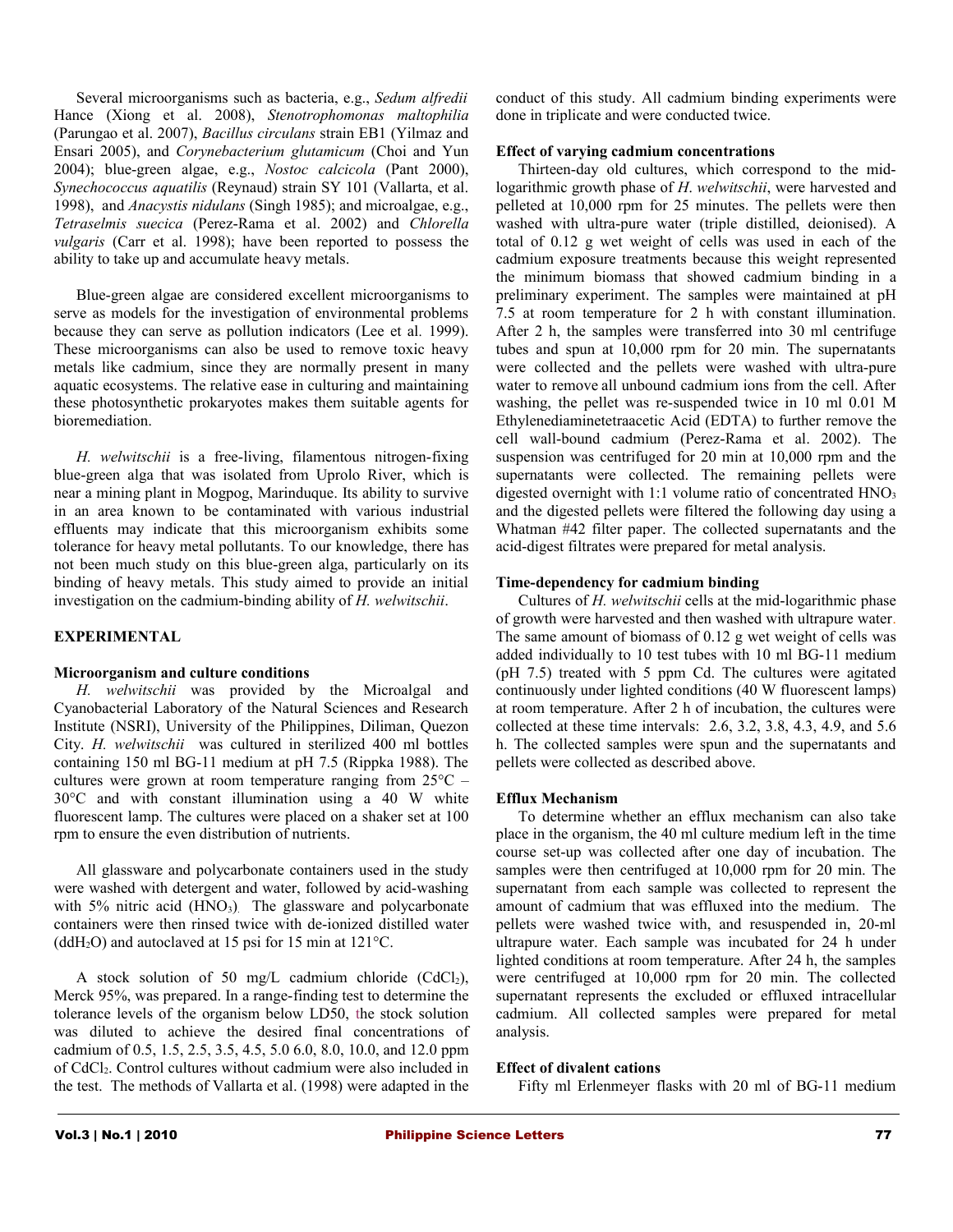Several microorganisms such as bacteria, e.g., *Sedum alfredii* Hance (Xiong et al. 2008), *Stenotrophomonas maltophilia* (Parungao et al. 2007), *Bacillus circulans* strain EB1 (Yilmaz and Ensari 2005), and *Corynebacterium glutamicum* (Choi and Yun 2004); blue-green algae, e.g., *Nostoc calcicola* (Pant 2000), *Synechococcus aquatilis* (Reynaud) strain SY 101 (Vallarta, et al. 1998), and *Anacystis nidulans* (Singh 1985); and microalgae, e.g., *Tetraselmis suecica* (Perez-Rama et al. 2002) and *Chlorella vulgaris* (Carr et al. 1998); have been reported to possess the ability to take up and accumulate heavy metals.

Blue-green algae are considered excellent microorganisms to serve as models for the investigation of environmental problems because they can serve as pollution indicators (Lee et al*.* 1999). These microorganisms can also be used to remove toxic heavy metals like cadmium, since they are normally present in many aquatic ecosystems. The relative ease in culturing and maintaining these photosynthetic prokaryotes makes them suitable agents for bioremediation.

*H. welwitschii* is a free-living, filamentous nitrogen-fixing blue-green alga that was isolated from Uprolo River, which is near a mining plant in Mogpog, Marinduque. Its ability to survive in an area known to be contaminated with various industrial effluents may indicate that this microorganism exhibits some tolerance for heavy metal pollutants. To our knowledge, there has not been much study on this blue-green alga, particularly on its binding of heavy metals. This study aimed to provide an initial investigation on the cadmium-binding ability of *H. welwitschii*.

# **EXPERIMENTAL**

# **Microorganism and culture conditions**

*H. welwitschii* was provided by the Microalgal and Cyanobacterial Laboratory of the Natural Sciences and Research Institute (NSRI), University of the Philippines, Diliman, Quezon City. *H. welwitschii* was cultured in sterilized 400 ml bottles containing 150 ml BG-11 medium at pH 7.5 (Rippka 1988). The cultures were grown at room temperature ranging from  $25^{\circ}$ C – 30°C and with constant illumination using a 40 W white fluorescent lamp. The cultures were placed on a shaker set at 100 rpm to ensure the even distribution of nutrients.

All glassware and polycarbonate containers used in the study were washed with detergent and water, followed by acid-washing with  $5\%$  nitric acid (HNO<sub>3</sub>). The glassware and polycarbonate containers were then rinsed twice with de-ionized distilled water (ddH<sub>2</sub>O) and autoclaved at 15 psi for 15 min at  $121^{\circ}$ C.

A stock solution of 50 mg/L cadmium chloride  $(CdCl<sub>2</sub>)$ , Merck 95%, was prepared. In a range-finding test to determine the tolerance levels of the organism below LD50, the stock solution was diluted to achieve the desired final concentrations of cadmium of 0.5, 1.5, 2.5, 3.5, 4.5, 5.0 6.0, 8.0, 10.0, and 12.0 ppm of CdCl2. Control cultures without cadmium were also included in the test. The methods of Vallarta et al. (1998) were adapted in the

conduct of this study. All cadmium binding experiments were done in triplicate and were conducted twice.

#### **Effect of varying cadmium concentrations**

Thirteen-day old cultures, which correspond to the midlogarithmic growth phase of *H*. *welwitschii*, were harvested and pelleted at 10,000 rpm for 25 minutes. The pellets were then washed with ultra-pure water (triple distilled, deionised). A total of 0.12 g wet weight of cells was used in each of the cadmium exposure treatments because this weight represented the minimum biomass that showed cadmium binding in a preliminary experiment. The samples were maintained at pH 7.5 at room temperature for 2 h with constant illumination. After 2 h, the samples were transferred into 30 ml centrifuge tubes and spun at 10,000 rpm for 20 min. The supernatants were collected and the pellets were washed with ultra-pure water to remove all unbound cadmium ions from the cell. After washing, the pellet was re-suspended twice in 10 ml 0.01 M Ethylenediaminetetraacetic Acid (EDTA) to further remove the cell wall-bound cadmium (Perez-Rama et al. 2002). The suspension was centrifuged for 20 min at 10,000 rpm and the supernatants were collected. The remaining pellets were digested overnight with  $1:1$  volume ratio of concentrated  $HNO<sub>3</sub>$ and the digested pellets were filtered the following day using a Whatman #42 filter paper. The collected supernatants and the acid-digest filtrates were prepared for metal analysis.

# **Time-dependency for cadmium binding**

Cultures of *H. welwitschii* cells at the mid-logarithmic phase of growth were harvested and then washed with ultrapure water. The same amount of biomass of 0.12 g wet weight of cells was added individually to 10 test tubes with 10 ml BG-11 medium (pH 7.5) treated with 5 ppm Cd. The cultures were agitated continuously under lighted conditions (40 W fluorescent lamps) at room temperature. After 2 h of incubation, the cultures were collected at these time intervals: 2.6, 3.2, 3.8, 4.3, 4.9, and 5.6 h. The collected samples were spun and the supernatants and pellets were collected as described above.

# **Efflux Mechanism**

To determine whether an efflux mechanism can also take place in the organism, the 40 ml culture medium left in the time course set-up was collected after one day of incubation. The samples were then centrifuged at 10,000 rpm for 20 min. The supernatant from each sample was collected to represent the amount of cadmium that was effluxed into the medium. The pellets were washed twice with, and resuspended in, 20-ml ultrapure water. Each sample was incubated for 24 h under lighted conditions at room temperature. After 24 h, the samples were centrifuged at 10,000 rpm for 20 min. The collected supernatant represents the excluded or effluxed intracellular cadmium. All collected samples were prepared for metal analysis.

# **Effect of divalent cations**

Fifty ml Erlenmeyer flasks with 20 ml of BG-11 medium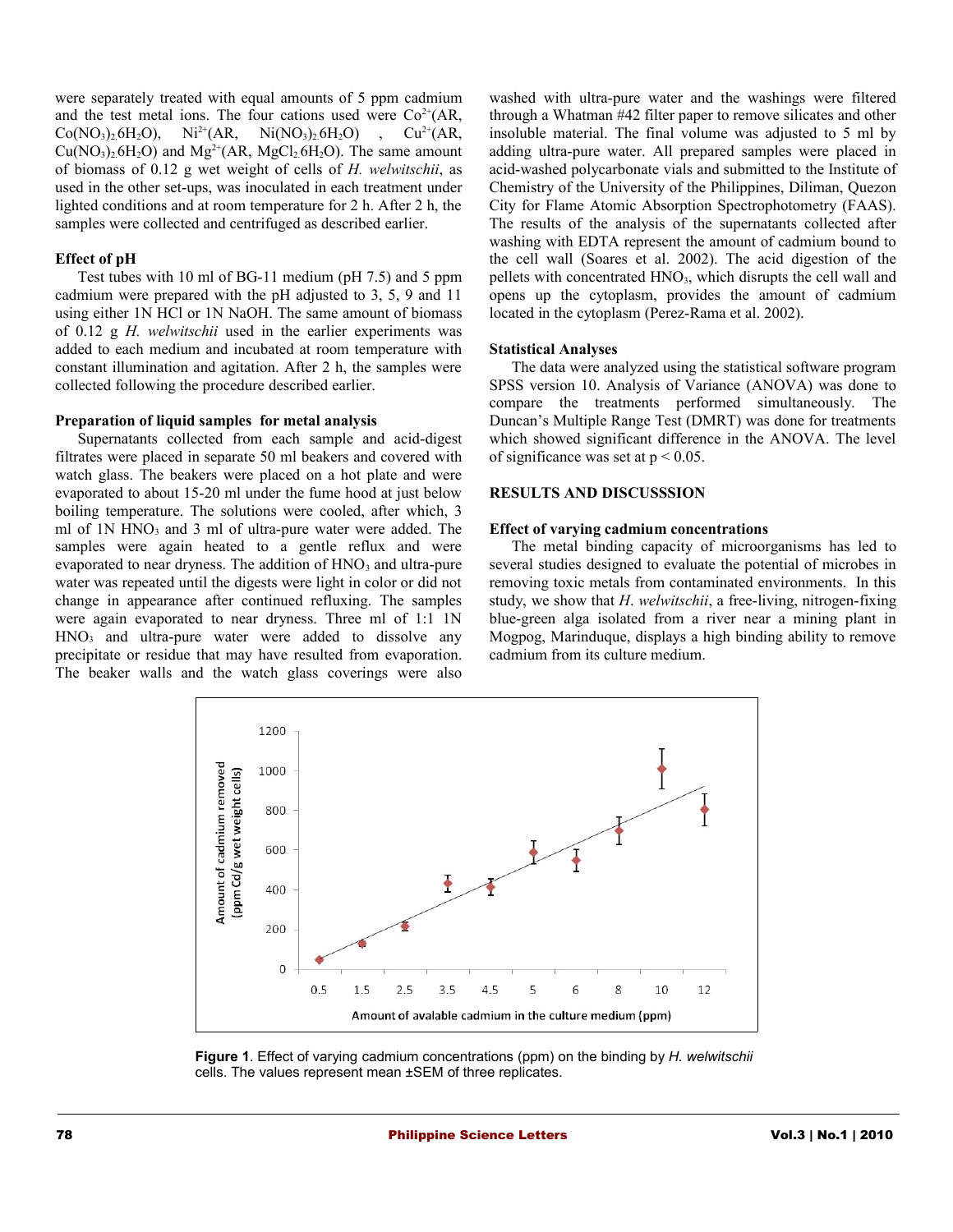were separately treated with equal amounts of 5 ppm cadmium and the test metal ions. The four cations used were  $Co^{2+}(AR, \mathbb{R})$  $Co(NO<sub>3</sub>)<sub>2</sub>6H<sub>2</sub>O)$ ,  $Ni<sup>2+</sup>(AR, Ni(NO<sub>3</sub>)<sub>2</sub>6H<sub>2</sub>O)$ ,  $Cu<sup>2+</sup>(AR,$  $Cu(NO<sub>3</sub>)<sub>2</sub>6H<sub>2</sub>O)$  and  $Mg<sup>2+</sup>(AR, MgCl<sub>2</sub>6H<sub>2</sub>O)$ . The same amount of biomass of 0.12 g wet weight of cells of *H. welwitschii*, as used in the other set-ups, was inoculated in each treatment under lighted conditions and at room temperature for 2 h. After 2 h, the samples were collected and centrifuged as described earlier.

#### **Effect of pH**

Test tubes with 10 ml of BG-11 medium (pH 7.5) and 5 ppm cadmium were prepared with the pH adjusted to 3, 5, 9 and 11 using either 1N HCl or 1N NaOH. The same amount of biomass of 0.12 g *H. welwitschii* used in the earlier experiments was added to each medium and incubated at room temperature with constant illumination and agitation. After 2 h, the samples were collected following the procedure described earlier.

# **Preparation of liquid samples for metal analysis**

Supernatants collected from each sample and acid-digest filtrates were placed in separate 50 ml beakers and covered with watch glass. The beakers were placed on a hot plate and were evaporated to about 15-20 ml under the fume hood at just below boiling temperature. The solutions were cooled, after which, 3 ml of  $1N HNO<sub>3</sub>$  and  $3$  ml of ultra-pure water were added. The samples were again heated to a gentle reflux and were evaporated to near dryness. The addition of HNO<sub>3</sub> and ultra-pure water was repeated until the digests were light in color or did not change in appearance after continued refluxing. The samples were again evaporated to near dryness. Three ml of 1:1 1N  $HNO<sub>3</sub>$  and ultra-pure water were added to dissolve any precipitate or residue that may have resulted from evaporation. The beaker walls and the watch glass coverings were also

washed with ultra-pure water and the washings were filtered through a Whatman #42 filter paper to remove silicates and other insoluble material. The final volume was adjusted to 5 ml by adding ultra-pure water. All prepared samples were placed in acid-washed polycarbonate vials and submitted to the Institute of Chemistry of the University of the Philippines, Diliman, Quezon City for Flame Atomic Absorption Spectrophotometry (FAAS). The results of the analysis of the supernatants collected after washing with EDTA represent the amount of cadmium bound to the cell wall (Soares et al. 2002). The acid digestion of the pellets with concentrated HNO<sub>3</sub>, which disrupts the cell wall and opens up the cytoplasm, provides the amount of cadmium located in the cytoplasm (Perez-Rama et al. 2002).

# **Statistical Analyses**

The data were analyzed using the statistical software program SPSS version 10. Analysis of Variance (ANOVA) was done to compare the treatments performed simultaneously. The Duncan's Multiple Range Test (DMRT) was done for treatments which showed significant difference in the ANOVA. The level of significance was set at  $p < 0.05$ .

#### **RESULTS AND DISCUSSSION**

#### **Effect of varying cadmium concentrations**

The metal binding capacity of microorganisms has led to several studies designed to evaluate the potential of microbes in removing toxic metals from contaminated environments. In this study, we show that *H*. *welwitschii*, a free-living, nitrogen-fixing blue-green alga isolated from a river near a mining plant in Mogpog, Marinduque, displays a high binding ability to remove cadmium from its culture medium.



**Figure 1**. Effect of varying cadmium concentrations (ppm) on the binding by *H. welwitschii* cells. The values represent mean ±SEM of three replicates.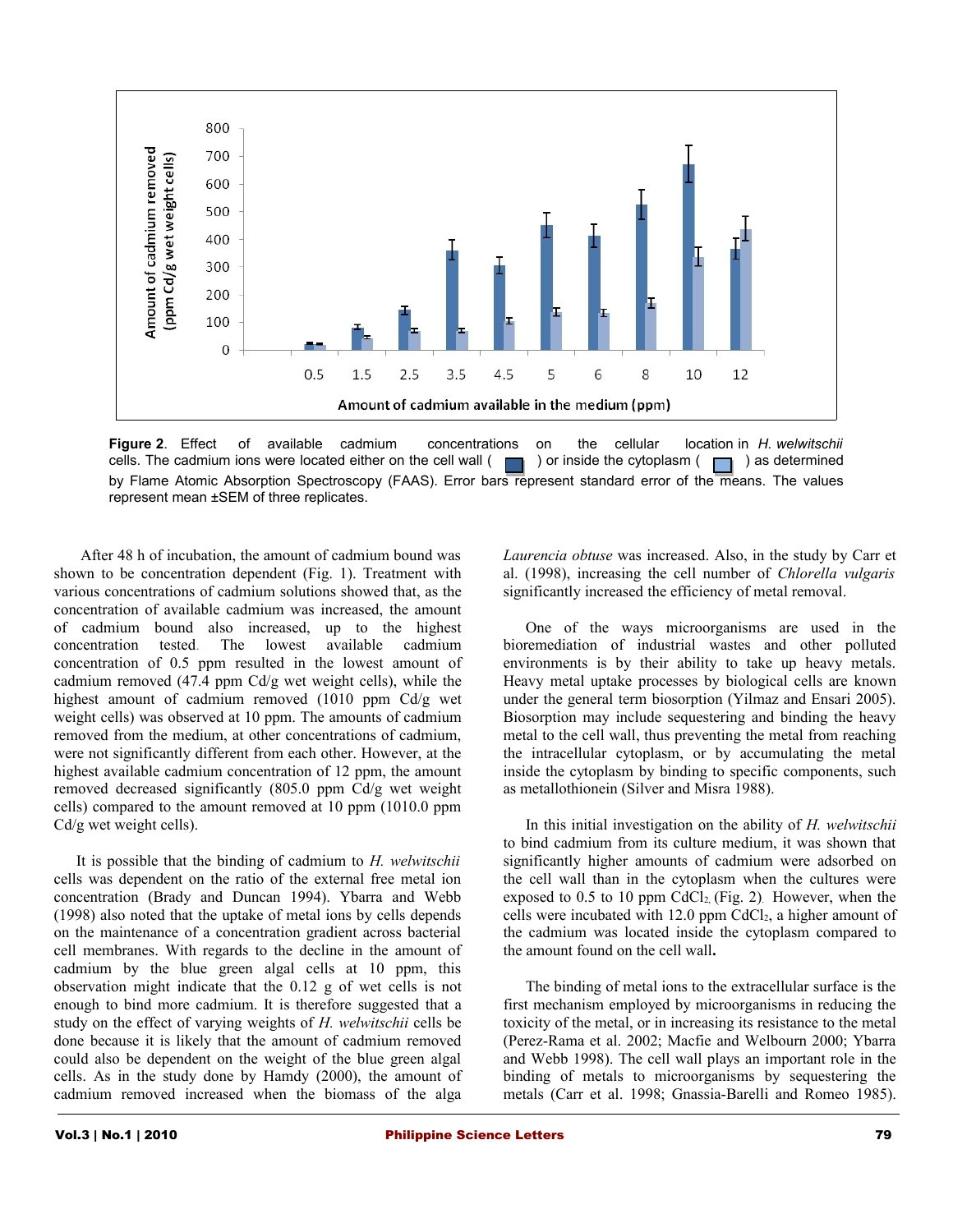

**Figure 2**. Effect of available cadmium concentrations on the cellular location in *H. welwitschii* cells. The cadmium ions were located either on the cell wall ( $\Box$ ) or inside the cytoplasm ( $\Box$ ) as determined cells. The cadmium ions were located either on the cell wall  $($   $\Box$  ) or inside the cytoplasm ( by Flame Atomic Absorption Spectroscopy (FAAS). Error bars represent standard error of the means. The values represent mean ±SEM of three replicates.

 After 48 h of incubation, the amount of cadmium bound was shown to be concentration dependent (Fig. 1). Treatment with various concentrations of cadmium solutions showed that, as the concentration of available cadmium was increased, the amount of cadmium bound also increased, up to the highest concentration tested. The lowest available cadmium concentration of 0.5 ppm resulted in the lowest amount of cadmium removed (47.4 ppm Cd/g wet weight cells), while the highest amount of cadmium removed (1010 ppm Cd/g wet weight cells) was observed at 10 ppm. The amounts of cadmium removed from the medium, at other concentrations of cadmium, were not significantly different from each other. However, at the highest available cadmium concentration of 12 ppm, the amount removed decreased significantly (805.0 ppm Cd/g wet weight cells) compared to the amount removed at 10 ppm (1010.0 ppm Cd/g wet weight cells).

It is possible that the binding of cadmium to *H. welwitschii* cells was dependent on the ratio of the external free metal ion concentration (Brady and Duncan 1994). Ybarra and Webb (1998) also noted that the uptake of metal ions by cells depends on the maintenance of a concentration gradient across bacterial cell membranes. With regards to the decline in the amount of cadmium by the blue green algal cells at 10 ppm, this observation might indicate that the 0.12 g of wet cells is not enough to bind more cadmium. It is therefore suggested that a study on the effect of varying weights of *H. welwitschii* cells be done because it is likely that the amount of cadmium removed could also be dependent on the weight of the blue green algal cells. As in the study done by Hamdy (2000), the amount of cadmium removed increased when the biomass of the alga

*Laurencia obtuse* was increased. Also, in the study by Carr et al. (1998), increasing the cell number of *Chlorella vulgaris* significantly increased the efficiency of metal removal.

One of the ways microorganisms are used in the bioremediation of industrial wastes and other polluted environments is by their ability to take up heavy metals. Heavy metal uptake processes by biological cells are known under the general term biosorption (Yilmaz and Ensari 2005). Biosorption may include sequestering and binding the heavy metal to the cell wall, thus preventing the metal from reaching the intracellular cytoplasm, or by accumulating the metal inside the cytoplasm by binding to specific components, such as metallothionein (Silver and Misra 1988).

In this initial investigation on the ability of *H. welwitschii* to bind cadmium from its culture medium, it was shown that significantly higher amounts of cadmium were adsorbed on the cell wall than in the cytoplasm when the cultures were exposed to  $0.5$  to  $10$  ppm CdCl<sub>2</sub> (Fig. 2). However, when the cells were incubated with  $12.0$  ppm CdCl<sub>2</sub>, a higher amount of the cadmium was located inside the cytoplasm compared to the amount found on the cell wall**.** 

The binding of metal ions to the extracellular surface is the first mechanism employed by microorganisms in reducing the toxicity of the metal, or in increasing its resistance to the metal (Perez-Rama et al. 2002; Macfie and Welbourn 2000; Ybarra and Webb 1998). The cell wall plays an important role in the binding of metals to microorganisms by sequestering the metals (Carr et al. 1998; Gnassia-Barelli and Romeo 1985).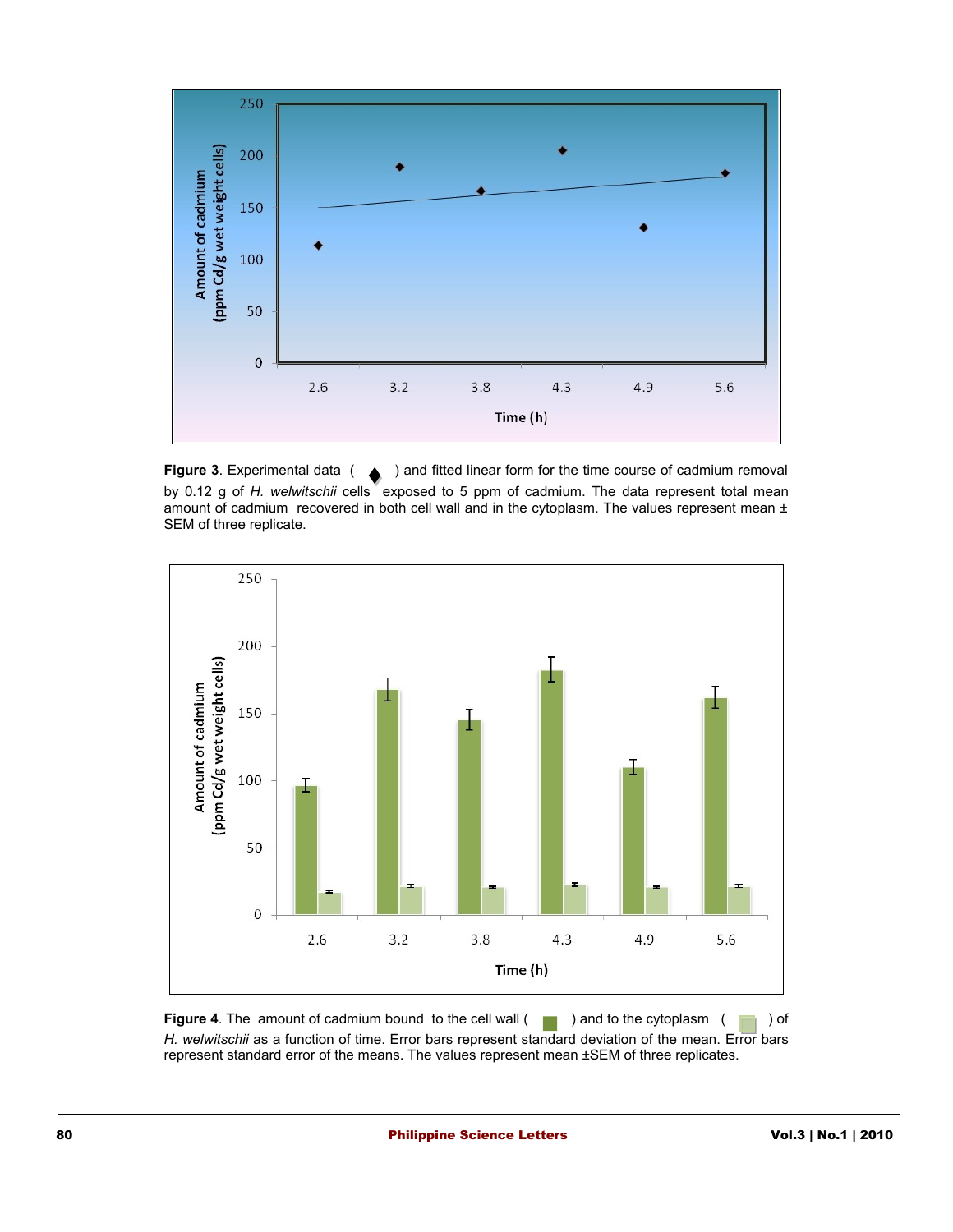

**Figure 3**. Experimental data ( ) and fitted linear form for the time course of cadmium removal by 0.12 g of *H. welwitschii* cells exposed to 5 ppm of cadmium. The data represent total mean amount of cadmium recovered in both cell wall and in the cytoplasm. The values represent mean ± SEM of three replicate.



**Figure 4**. The amount of cadmium bound to the cell wall ( ) and to the cytoplasm ( ) of *H. welwitschii* as a function of time. Error bars represent standard deviation of the mean. Error bars represent standard error of the means. The values represent mean ±SEM of three replicates.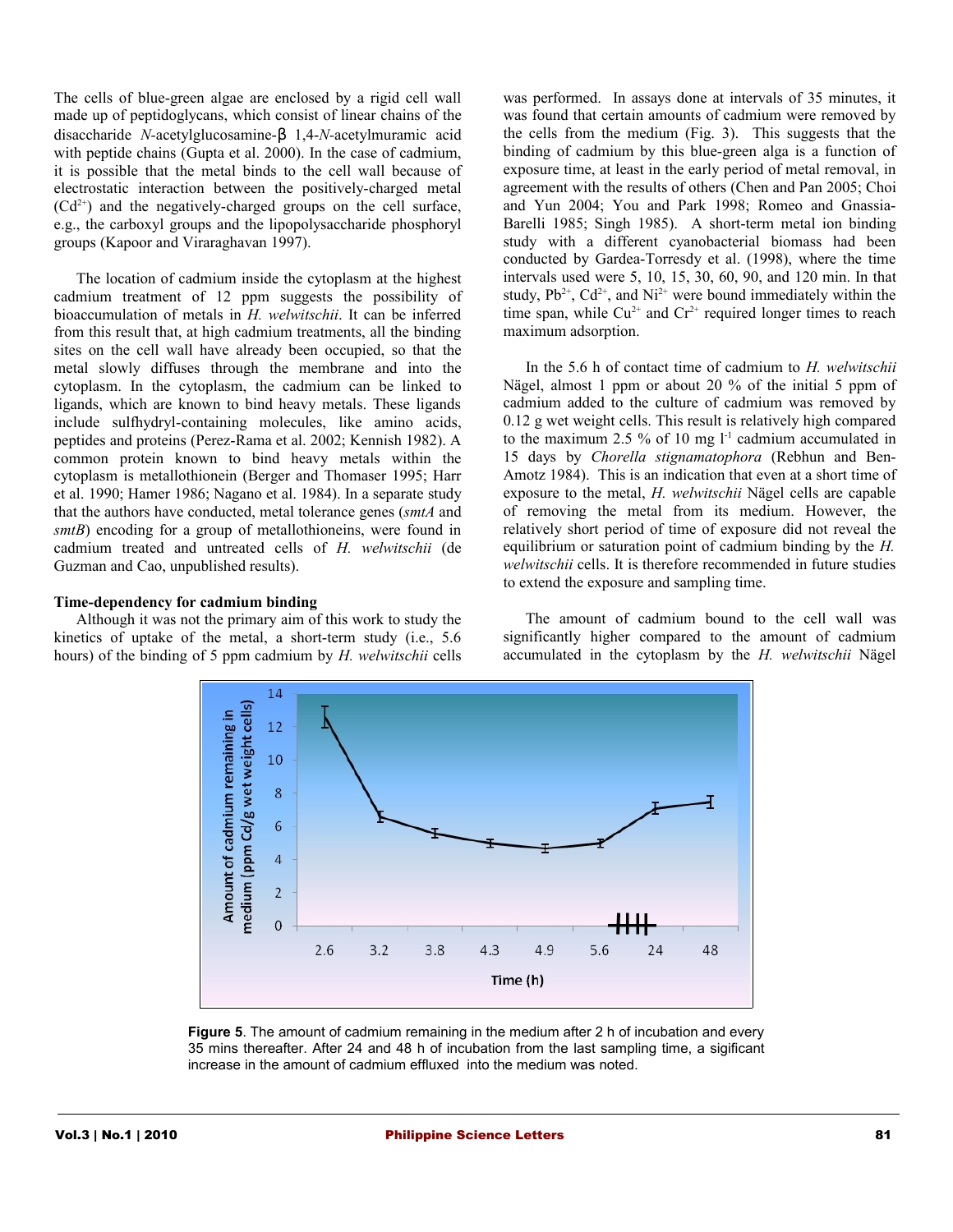The cells of blue-green algae are enclosed by a rigid cell wall made up of peptidoglycans, which consist of linear chains of the disaccharide *N-*acetylglucosamine-β 1,4-*N-*acetylmuramic acid with peptide chains (Gupta et al. 2000). In the case of cadmium, it is possible that the metal binds to the cell wall because of electrostatic interaction between the positively-charged metal  $(Cd^{2+})$  and the negatively-charged groups on the cell surface, e.g., the carboxyl groups and the lipopolysaccharide phosphoryl groups (Kapoor and Viraraghavan 1997).

The location of cadmium inside the cytoplasm at the highest cadmium treatment of 12 ppm suggests the possibility of bioaccumulation of metals in *H. welwitschii*. It can be inferred from this result that, at high cadmium treatments, all the binding sites on the cell wall have already been occupied, so that the metal slowly diffuses through the membrane and into the cytoplasm. In the cytoplasm, the cadmium can be linked to ligands, which are known to bind heavy metals. These ligands include sulfhydryl-containing molecules, like amino acids, peptides and proteins (Perez-Rama et al. 2002; Kennish 1982). A common protein known to bind heavy metals within the cytoplasm is metallothionein (Berger and Thomaser 1995; Harr et al. 1990; Hamer 1986; Nagano et al. 1984). In a separate study that the authors have conducted, metal tolerance genes (*smtA* and *smtB*) encoding for a group of metallothioneins, were found in cadmium treated and untreated cells of *H. welwitschii* (de Guzman and Cao, unpublished results).

#### **Time-dependency for cadmium binding**

Although it was not the primary aim of this work to study the kinetics of uptake of the metal, a short-term study (i.e., 5.6 hours) of the binding of 5 ppm cadmium by *H. welwitschii* cells was performed. In assays done at intervals of 35 minutes, it was found that certain amounts of cadmium were removed by the cells from the medium (Fig. 3). This suggests that the binding of cadmium by this blue-green alga is a function of exposure time, at least in the early period of metal removal, in agreement with the results of others (Chen and Pan 2005; Choi and Yun 2004; You and Park 1998; Romeo and Gnassia-Barelli 1985; Singh 1985). A short-term metal ion binding study with a different cyanobacterial biomass had been conducted by Gardea-Torresdy et al. (1998), where the time intervals used were 5, 10, 15, 30, 60, 90, and 120 min. In that study,  $Pb^{2+}$ ,  $Cd^{2+}$ , and  $Ni^{2+}$  were bound immediately within the time span, while  $Cu^{2+}$  and  $Cr^{2+}$  required longer times to reach maximum adsorption.

In the 5.6 h of contact time of cadmium to *H. welwitschii* Nägel, almost 1 ppm or about 20 % of the initial 5 ppm of cadmium added to the culture of cadmium was removed by 0.12 g wet weight cells. This result is relatively high compared to the maximum 2.5 % of 10 mg  $l<sup>-1</sup>$  cadmium accumulated in 15 days by *Chorella stignamatophora* (Rebhun and Ben-Amotz 1984). This is an indication that even at a short time of exposure to the metal, *H. welwitschii* Nägel cells are capable of removing the metal from its medium. However, the relatively short period of time of exposure did not reveal the equilibrium or saturation point of cadmium binding by the *H. welwitschii* cells. It is therefore recommended in future studies to extend the exposure and sampling time.

The amount of cadmium bound to the cell wall was significantly higher compared to the amount of cadmium accumulated in the cytoplasm by the *H. welwitschii* Nägel



**Figure 5**. The amount of cadmium remaining in the medium after 2 h of incubation and every 35 mins thereafter. After 24 and 48 h of incubation from the last sampling time, a sigificant increase in the amount of cadmium effluxed into the medium was noted.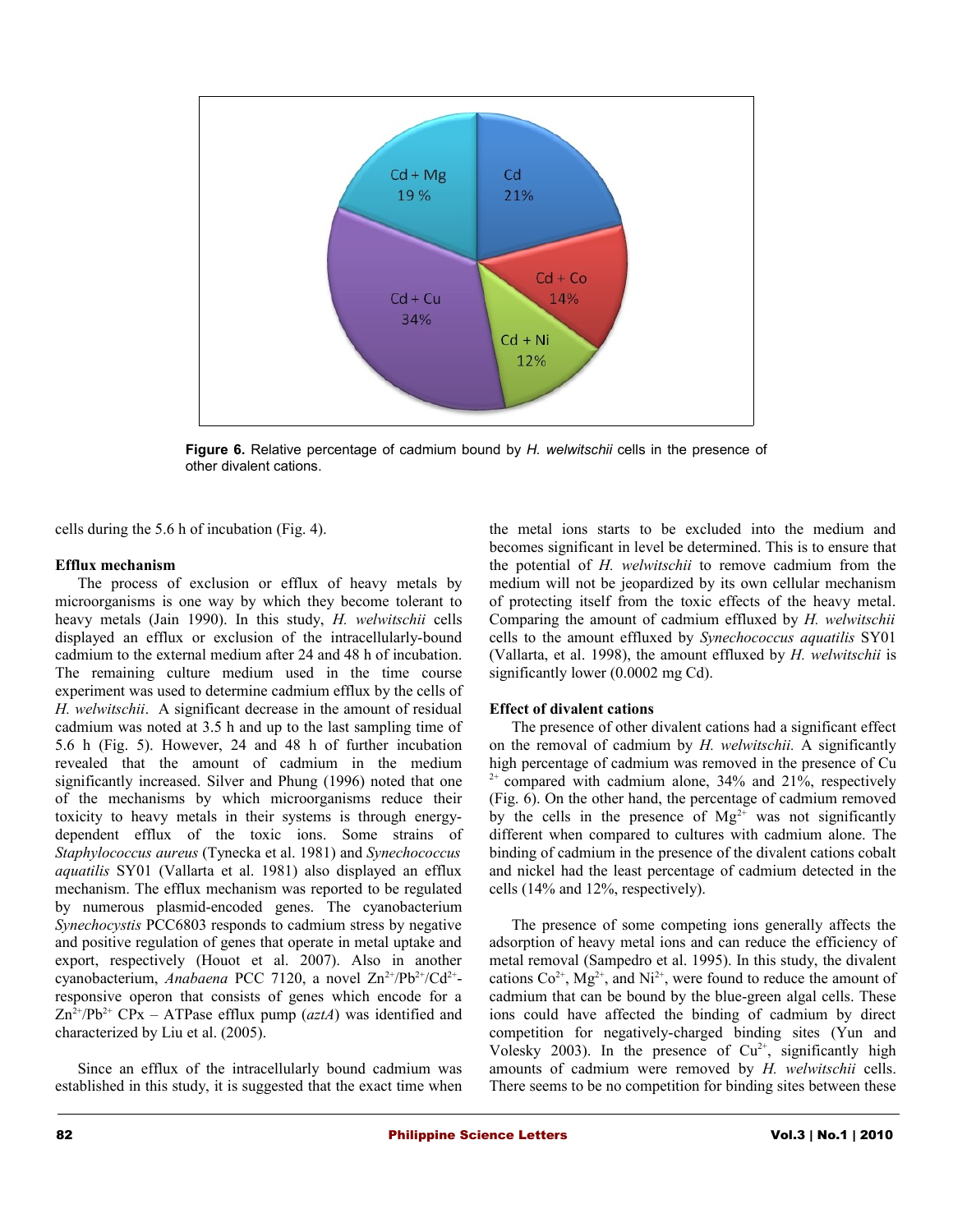

**Figure 6.** Relative percentage of cadmium bound by *H. welwitschii* cells in the presence of other divalent cations.

cells during the 5.6 h of incubation (Fig. 4).

# **Efflux mechanism**

The process of exclusion or efflux of heavy metals by microorganisms is one way by which they become tolerant to heavy metals (Jain 1990). In this study, *H. welwitschii* cells displayed an efflux or exclusion of the intracellularly-bound cadmium to the external medium after 24 and 48 h of incubation. The remaining culture medium used in the time course experiment was used to determine cadmium efflux by the cells of *H. welwitschii*. A significant decrease in the amount of residual cadmium was noted at 3.5 h and up to the last sampling time of 5.6 h (Fig. 5). However, 24 and 48 h of further incubation revealed that the amount of cadmium in the medium significantly increased. Silver and Phung (1996) noted that one of the mechanisms by which microorganisms reduce their toxicity to heavy metals in their systems is through energydependent efflux of the toxic ions. Some strains of *Staphylococcus aureus* (Tynecka et al. 1981) and *Synechococcus aquatilis* SY01 (Vallarta et al. 1981) also displayed an efflux mechanism. The efflux mechanism was reported to be regulated by numerous plasmid-encoded genes. The cyanobacterium *Synechocystis* PCC6803 responds to cadmium stress by negative and positive regulation of genes that operate in metal uptake and export, respectively (Houot et al. 2007). Also in another cyanobacterium, *Anabaena* PCC 7120, a novel Zn<sup>2+</sup>/Pb<sup>2+</sup>/Cd<sup>2+</sup>responsive operon that consists of genes which encode for a  $Zn^{2+}/Pb^{2+}$  CPx – ATPase efflux pump (*aztA*) was identified and characterized by Liu et al. (2005).

Since an efflux of the intracellularly bound cadmium was established in this study, it is suggested that the exact time when the metal ions starts to be excluded into the medium and becomes significant in level be determined. This is to ensure that the potential of *H. welwitschii* to remove cadmium from the medium will not be jeopardized by its own cellular mechanism of protecting itself from the toxic effects of the heavy metal. Comparing the amount of cadmium effluxed by *H. welwitschii* cells to the amount effluxed by *Synechococcus aquatilis* SY01 (Vallarta, et al. 1998), the amount effluxed by *H. welwitschii* is significantly lower (0.0002 mg Cd).

# **Effect of divalent cations**

The presence of other divalent cations had a significant effect on the removal of cadmium by *H. welwitschii.* A significantly high percentage of cadmium was removed in the presence of Cu  $2^+$  compared with cadmium alone, 34% and 21%, respectively (Fig. 6). On the other hand, the percentage of cadmium removed by the cells in the presence of  $Mg^{2+}$  was not significantly different when compared to cultures with cadmium alone. The binding of cadmium in the presence of the divalent cations cobalt and nickel had the least percentage of cadmium detected in the cells (14% and 12%, respectively).

The presence of some competing ions generally affects the adsorption of heavy metal ions and can reduce the efficiency of metal removal (Sampedro et al. 1995). In this study, the divalent cations  $Co^{2+}$ , Mg<sup>2+</sup>, and Ni<sup>2+</sup>, were found to reduce the amount of cadmium that can be bound by the blue-green algal cells. These ions could have affected the binding of cadmium by direct competition for negatively-charged binding sites (Yun and Volesky 2003). In the presence of  $Cu^{2+}$ , significantly high amounts of cadmium were removed by *H. welwitschii* cells. There seems to be no competition for binding sites between these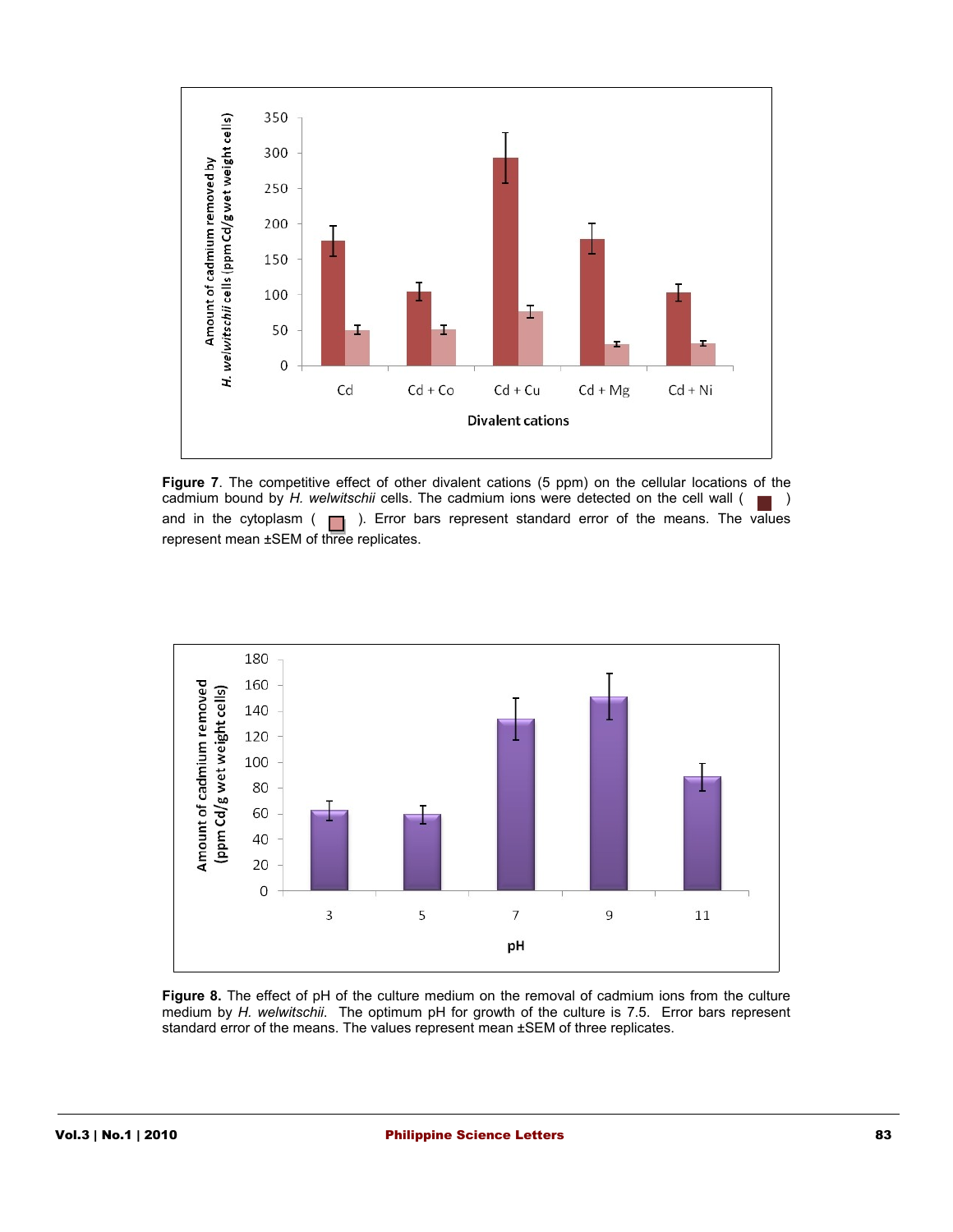

**Figure 7**. The competitive effect of other divalent cations (5 ppm) on the cellular locations of the cadmium bound by *H. welwitschii* cells. The cadmium ions were detected on the cell wall ( $\Box$ ) and in the cytoplasm  $( \Box)$ . Error bars represent standard error of the means. The values represent mean ±SEM of three replicates.



**Figure 8.** The effect of pH of the culture medium on the removal of cadmium ions from the culture medium by *H. welwitschii*. The optimum pH for growth of the culture is 7.5. Error bars represent standard error of the means. The values represent mean ±SEM of three replicates.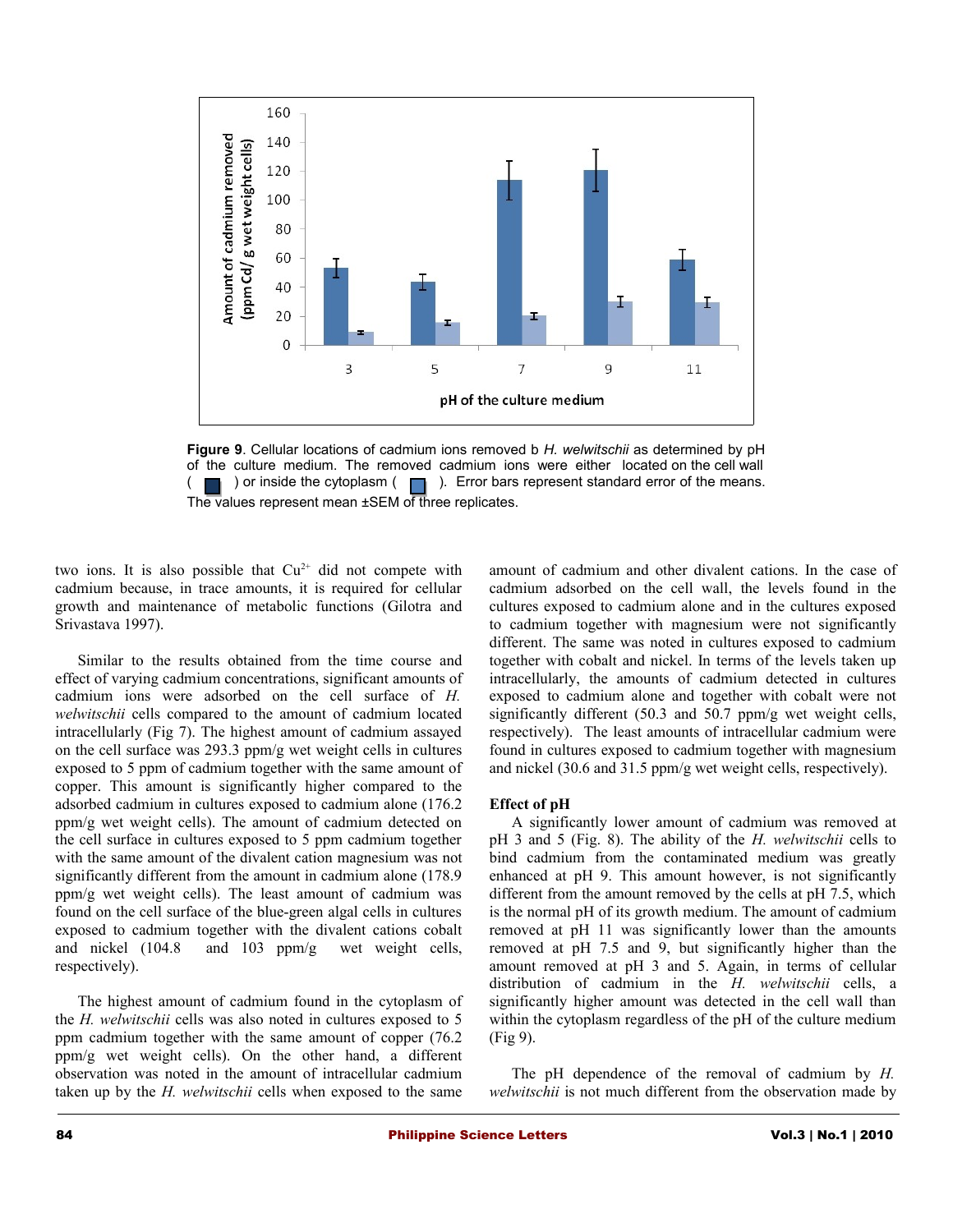

**Figure 9**. Cellular locations of cadmium ions removed b *H. welwitschii* as determined by pH of the culture medium. The removed cadmium ions were either located on the cell wall ( $\Box$ ) or inside the cytoplasm ( $\Box$ ). Error bars represent standard error of the means. The values represent mean ±SEM of three replicates.

two ions. It is also possible that  $Cu^{2+}$  did not compete with cadmium because, in trace amounts, it is required for cellular growth and maintenance of metabolic functions (Gilotra and Srivastava 1997).

Similar to the results obtained from the time course and effect of varying cadmium concentrations, significant amounts of cadmium ions were adsorbed on the cell surface of *H. welwitschii* cells compared to the amount of cadmium located intracellularly (Fig 7). The highest amount of cadmium assayed on the cell surface was 293.3 ppm/g wet weight cells in cultures exposed to 5 ppm of cadmium together with the same amount of copper. This amount is significantly higher compared to the adsorbed cadmium in cultures exposed to cadmium alone (176.2 ppm/g wet weight cells). The amount of cadmium detected on the cell surface in cultures exposed to 5 ppm cadmium together with the same amount of the divalent cation magnesium was not significantly different from the amount in cadmium alone (178.9) ppm/g wet weight cells). The least amount of cadmium was found on the cell surface of the blue-green algal cells in cultures exposed to cadmium together with the divalent cations cobalt and nickel (104.8 and 103 ppm/g wet weight cells, respectively).

The highest amount of cadmium found in the cytoplasm of the *H. welwitschii* cells was also noted in cultures exposed to 5 ppm cadmium together with the same amount of copper (76.2 ppm/g wet weight cells). On the other hand, a different observation was noted in the amount of intracellular cadmium taken up by the *H. welwitschii* cells when exposed to the same

amount of cadmium and other divalent cations. In the case of cadmium adsorbed on the cell wall, the levels found in the cultures exposed to cadmium alone and in the cultures exposed to cadmium together with magnesium were not significantly different. The same was noted in cultures exposed to cadmium together with cobalt and nickel. In terms of the levels taken up intracellularly, the amounts of cadmium detected in cultures exposed to cadmium alone and together with cobalt were not significantly different (50.3 and 50.7 ppm/g wet weight cells, respectively). The least amounts of intracellular cadmium were found in cultures exposed to cadmium together with magnesium and nickel (30.6 and 31.5 ppm/g wet weight cells, respectively).

#### **Effect of pH**

A significantly lower amount of cadmium was removed at pH 3 and 5 (Fig. 8). The ability of the *H. welwitschii* cells to bind cadmium from the contaminated medium was greatly enhanced at pH 9. This amount however, is not significantly different from the amount removed by the cells at pH 7.5, which is the normal pH of its growth medium. The amount of cadmium removed at pH 11 was significantly lower than the amounts removed at pH 7.5 and 9, but significantly higher than the amount removed at pH 3 and 5. Again, in terms of cellular distribution of cadmium in the *H. welwitschii* cells, a significantly higher amount was detected in the cell wall than within the cytoplasm regardless of the pH of the culture medium (Fig 9).

The pH dependence of the removal of cadmium by *H. welwitschii* is not much different from the observation made by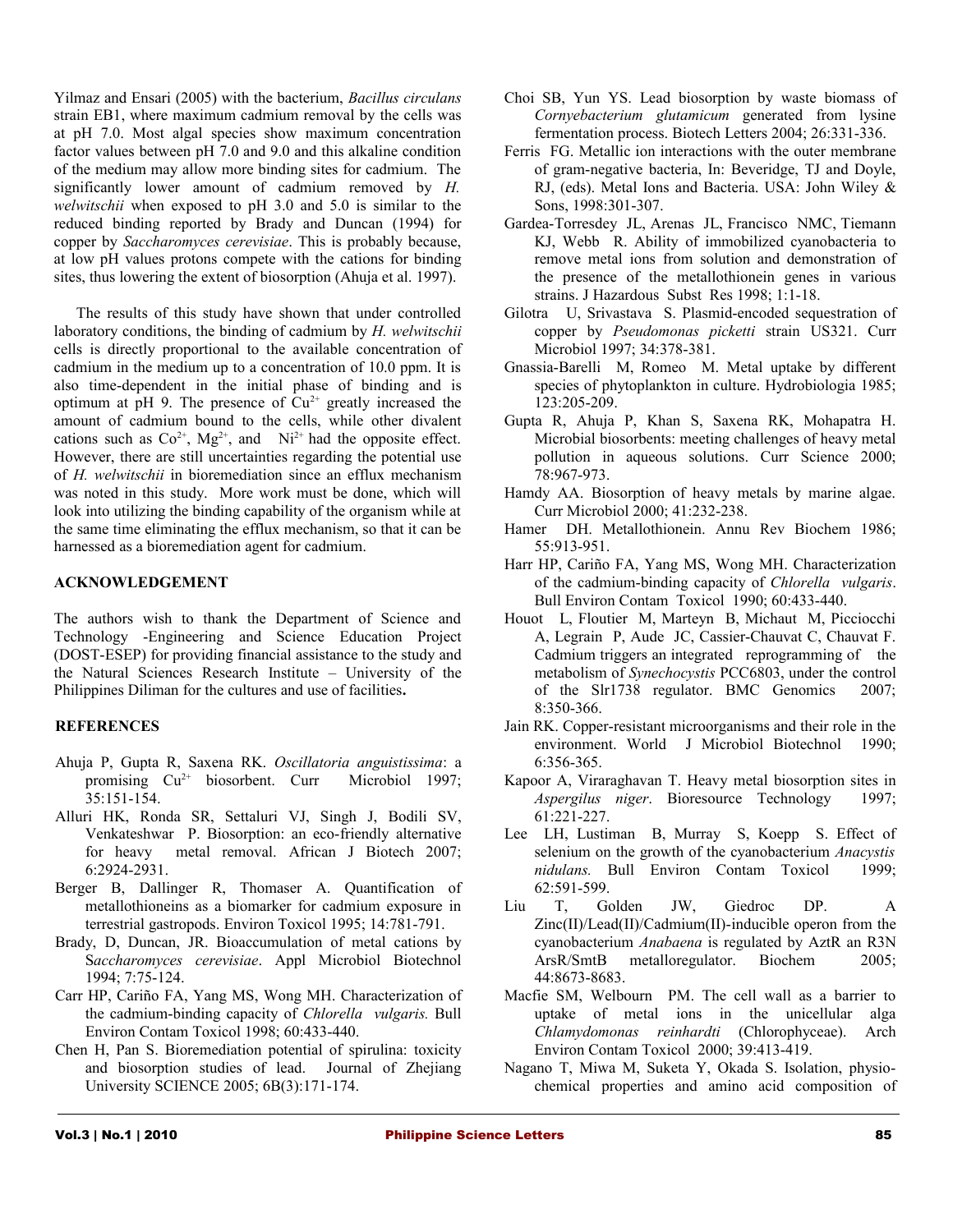Yilmaz and Ensari (2005) with the bacterium, *Bacillus circulans* strain EB1, where maximum cadmium removal by the cells was at pH 7.0. Most algal species show maximum concentration factor values between pH 7.0 and 9.0 and this alkaline condition of the medium may allow more binding sites for cadmium. The significantly lower amount of cadmium removed by *H. welwitschii* when exposed to pH 3.0 and 5.0 is similar to the reduced binding reported by Brady and Duncan (1994) for copper by *Saccharomyces cerevisiae*. This is probably because, at low pH values protons compete with the cations for binding sites, thus lowering the extent of biosorption (Ahuja et al. 1997).

The results of this study have shown that under controlled laboratory conditions, the binding of cadmium by *H. welwitschii* cells is directly proportional to the available concentration of cadmium in the medium up to a concentration of 10.0 ppm. It is also time-dependent in the initial phase of binding and is optimum at pH 9. The presence of  $Cu^{2+}$  greatly increased the amount of cadmium bound to the cells, while other divalent cations such as  $Co^{2+}$ ,  $Mg^{2+}$ , and  $Ni^{2+}$  had the opposite effect. However, there are still uncertainties regarding the potential use of *H. welwitschii* in bioremediation since an efflux mechanism was noted in this study. More work must be done, which will look into utilizing the binding capability of the organism while at the same time eliminating the efflux mechanism, so that it can be harnessed as a bioremediation agent for cadmium.

# **ACKNOWLEDGEMENT**

The authors wish to thank the Department of Science and Technology -Engineering and Science Education Project (DOST-ESEP) for providing financial assistance to the study and the Natural Sciences Research Institute – University of the Philippines Diliman for the cultures and use of facilities**.**

# **REFERENCES**

- Ahuja P, Gupta R, Saxena RK. *Oscillatoria anguistissima*: a promising  $Cu^{2+}$  biosorbent. Curr Microbiol 1997; 35:151-154.
- Alluri HK, Ronda SR, Settaluri VJ, Singh J, Bodili SV, Venkateshwar P. Biosorption: an eco-friendly alternative for heavy metal removal. African J Biotech 2007; 6:2924-2931.
- Berger B, Dallinger R, Thomaser A. Quantification of metallothioneins as a biomarker for cadmium exposure in terrestrial gastropods. Environ Toxicol 1995; 14:781-791.
- Brady, D, Duncan, JR. Bioaccumulation of metal cations by S*accharomyces cerevisiae*. Appl Microbiol Biotechnol 1994; 7:75-124.
- Carr HP, Cariño FA, Yang MS, Wong MH. Characterization of the cadmium-binding capacity of *Chlorella vulgaris.* Bull Environ Contam Toxicol 1998; 60:433-440.
- Chen H, Pan S. Bioremediation potential of spirulina: toxicity and biosorption studies of lead. Journal of Zhejiang University SCIENCE 2005; 6B(3):171-174.
- Choi SB, Yun YS. Lead biosorption by waste biomass of *Cornyebacterium glutamicum* generated from lysine fermentation process. Biotech Letters 2004; 26:331-336.
- Ferris FG. Metallic ion interactions with the outer membrane of gram-negative bacteria, In: Beveridge, TJ and Doyle, RJ, (eds). Metal Ions and Bacteria. USA: John Wiley & Sons, 1998:301-307.
- Gardea-Torresdey JL, Arenas JL, Francisco NMC, Tiemann KJ, Webb R. Ability of immobilized cyanobacteria to remove metal ions from solution and demonstration of the presence of the metallothionein genes in various strains. J Hazardous Subst Res 1998; 1:1-18.
- Gilotra U, Srivastava S. Plasmid-encoded sequestration of copper by *Pseudomonas picketti* strain US321. Curr Microbiol 1997; 34:378-381.
- Gnassia-Barelli M, Romeo M. Metal uptake by different species of phytoplankton in culture. Hydrobiologia 1985; 123:205-209.
- Gupta R, Ahuja P, Khan S, Saxena RK, Mohapatra H. Microbial biosorbents: meeting challenges of heavy metal pollution in aqueous solutions. Curr Science 2000; 78:967-973.
- Hamdy AA. Biosorption of heavy metals by marine algae. Curr Microbiol 2000; 41:232-238.
- Hamer DH. Metallothionein. Annu Rev Biochem 1986; 55:913-951.
- Harr HP, Cariño FA, Yang MS, Wong MH. Characterization of the cadmium-binding capacity of *Chlorella vulgaris*. Bull Environ Contam Toxicol 1990; 60:433-440.
- Houot L, Floutier M, Marteyn B, Michaut M, Picciocchi A, Legrain P, Aude JC, Cassier-Chauvat C, Chauvat F. Cadmium triggers an integrated reprogramming of the metabolism of *Synechocystis* PCC6803, under the control of the Slr1738 regulator. BMC Genomics 2007; 8:350-366.
- Jain RK. Copper-resistant microorganisms and their role in the environment. World J Microbiol Biotechnol 1990; 6:356-365.
- Kapoor A, Viraraghavan T. Heavy metal biosorption sites in *Aspergilus niger*. Bioresource Technology 1997; 61:221-227.
- Lee LH, Lustiman B, Murray S, Koepp S. Effect of selenium on the growth of the cyanobacterium *Anacystis nidulans.* Bull Environ Contam Toxicol 1999; 62:591-599.
- Liu T, Golden JW, Giedroc DP. A Zinc(II)/Lead(II)/Cadmium(II)-inducible operon from the cyanobacterium *Anabaena* is regulated by AztR an R3N ArsR/SmtB metalloregulator. Biochem 2005; 44:8673-8683.
- Macfie SM, Welbourn PM. The cell wall as a barrier to uptake of metal ions in the unicellular alga *Chlamydomonas reinhardti* (Chlorophyceae). Arch Environ Contam Toxicol 2000; 39:413-419.
- Nagano T, Miwa M, Suketa Y, Okada S. Isolation, physiochemical properties and amino acid composition of